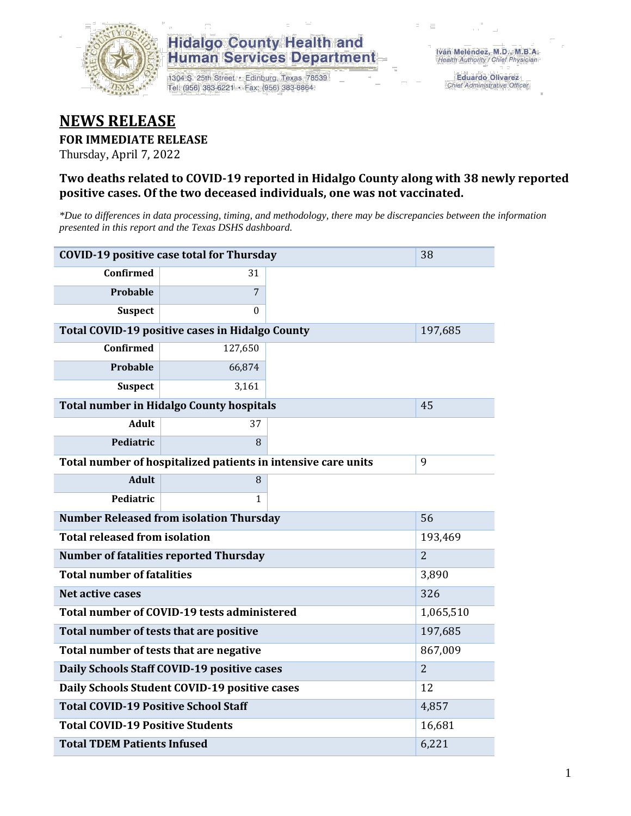

## **Hidalgo County Health and Human Services Department**

1304 S. 25th Street · Edinburg, Texas 78539 Tel: (956) 383-6221 · Fax: (956) 383-8864

**Eduardo Olivarez** Chief Administrative Officer

## **NEWS RELEASE**

#### **FOR IMMEDIATE RELEASE**

Thursday, April 7, 2022

#### **Two deaths related to COVID-19 reported in Hidalgo County along with 38 newly reported positive cases. Of the two deceased individuals, one was not vaccinated.**

*\*Due to differences in data processing, timing, and methodology, there may be discrepancies between the information presented in this report and the Texas DSHS dashboard.*

| <b>COVID-19 positive case total for Thursday</b> | 38                                                            |                |       |
|--------------------------------------------------|---------------------------------------------------------------|----------------|-------|
| <b>Confirmed</b>                                 | 31                                                            |                |       |
| <b>Probable</b>                                  | 7                                                             |                |       |
| <b>Suspect</b>                                   | $\Omega$                                                      |                |       |
| Total COVID-19 positive cases in Hidalgo County  |                                                               | 197,685        |       |
| Confirmed                                        | 127,650                                                       |                |       |
| <b>Probable</b>                                  | 66,874                                                        |                |       |
| <b>Suspect</b>                                   | 3,161                                                         |                |       |
| <b>Total number in Hidalgo County hospitals</b>  |                                                               | 45             |       |
| <b>Adult</b>                                     | 37                                                            |                |       |
| Pediatric                                        | 8                                                             |                |       |
|                                                  | Total number of hospitalized patients in intensive care units | 9              |       |
| <b>Adult</b>                                     | 8                                                             |                |       |
| Pediatric                                        | 1                                                             |                |       |
| <b>Number Released from isolation Thursday</b>   |                                                               | 56             |       |
| <b>Total released from isolation</b>             |                                                               | 193,469        |       |
| <b>Number of fatalities reported Thursday</b>    |                                                               | $\overline{2}$ |       |
| <b>Total number of fatalities</b>                |                                                               |                | 3,890 |
| Net active cases                                 |                                                               |                | 326   |
| Total number of COVID-19 tests administered      |                                                               | 1,065,510      |       |
| Total number of tests that are positive          |                                                               | 197,685        |       |
| Total number of tests that are negative          |                                                               | 867,009        |       |
| Daily Schools Staff COVID-19 positive cases      |                                                               | $\overline{2}$ |       |
| Daily Schools Student COVID-19 positive cases    | 12                                                            |                |       |
| <b>Total COVID-19 Positive School Staff</b>      | 4,857                                                         |                |       |
| <b>Total COVID-19 Positive Students</b>          | 16,681                                                        |                |       |
| <b>Total TDEM Patients Infused</b>               | 6,221                                                         |                |       |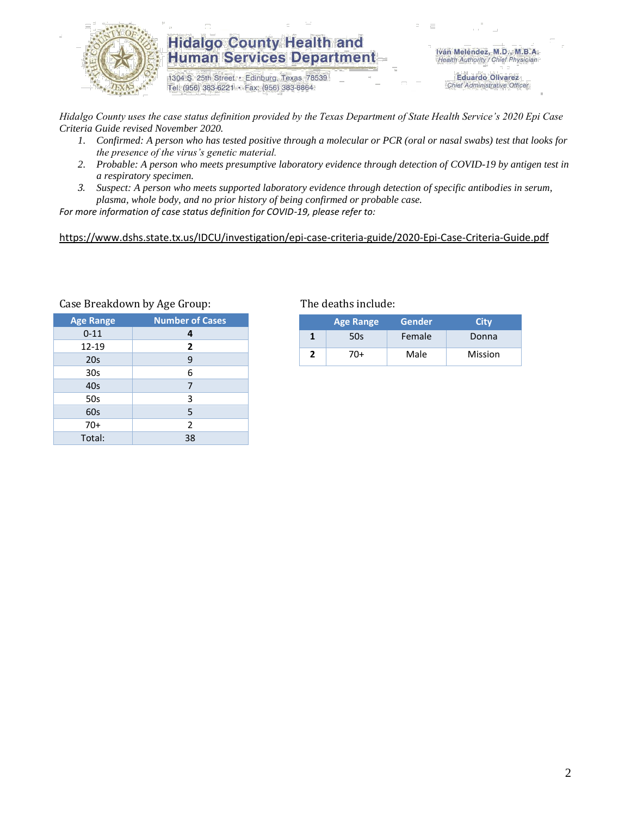

### **Hidalgo County Health and Human Services Department**

1304 S. 25th Street · Edinburg, Texas 78539 Tel: (956) 383-6221 · Fax: (956) 383-8864

Iván Meléndez, M.D., M.B.A. Health Authority / Chief Physician

> **Eduardo Olivarez** Chief Administrative Officer

*Hidalgo County uses the case status definition provided by the Texas Department of State Health Service's 2020 Epi Case Criteria Guide revised November 2020.*

- *1. Confirmed: A person who has tested positive through a molecular or PCR (oral or nasal swabs) test that looks for the presence of the virus's genetic material.*
- *2. Probable: A person who meets presumptive laboratory evidence through detection of COVID-19 by antigen test in a respiratory specimen.*
- *3. Suspect: A person who meets supported laboratory evidence through detection of specific antibodies in serum, plasma, whole body, and no prior history of being confirmed or probable case.*

*For more information of case status definition for COVID-19, please refer to:*

<https://www.dshs.state.tx.us/IDCU/investigation/epi-case-criteria-guide/2020-Epi-Case-Criteria-Guide.pdf>

| <b>Age Range</b> | <b>Number of Cases</b> |  |  |
|------------------|------------------------|--|--|
| $0 - 11$         | 4                      |  |  |
| 12-19            | $\overline{2}$         |  |  |
| 20s              | 9                      |  |  |
| 30 <sub>s</sub>  | 6                      |  |  |
| 40s              | 7                      |  |  |
| 50s              | 3                      |  |  |
| 60s              | 5                      |  |  |
| $70+$            | 2                      |  |  |
| Total:           | 38                     |  |  |

Case Breakdown by Age Group: The deaths include:

| <b>Age Range</b> |     | <b>Gender</b> | Citv    |  |  |
|------------------|-----|---------------|---------|--|--|
|                  | 50s | Female        | Donna   |  |  |
|                  | 70+ | Male          | Mission |  |  |